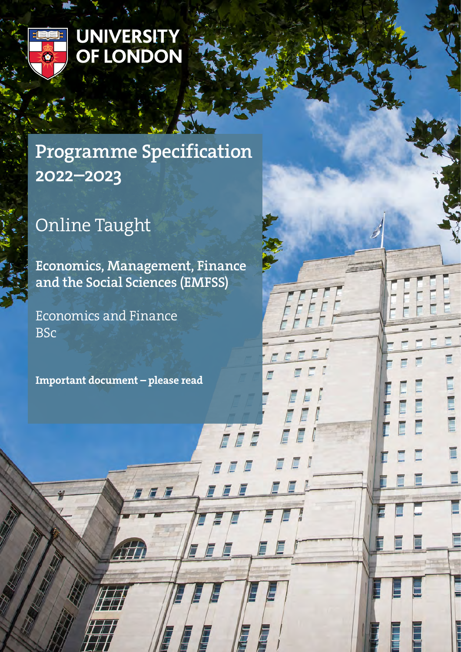

# UNIVERSITY<br>OF LONDON

# Programme Specification 2022–2023

# Online Taught

Economics, Management, Finance and the Social Sciences (EMFSS)

7 F F

E

E

É

Economics and Finance BSc

Important document – please read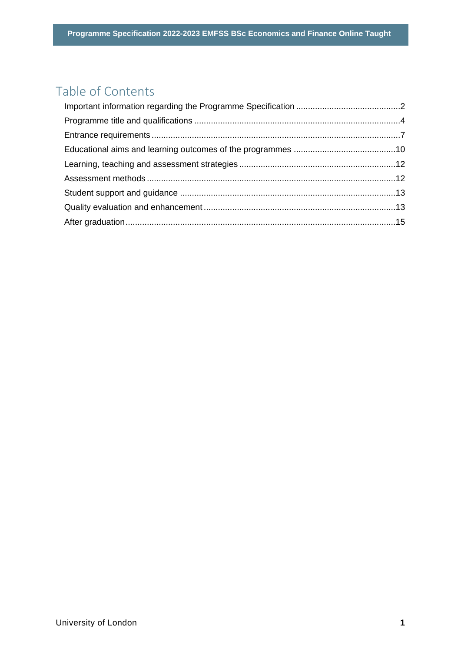# Table of Contents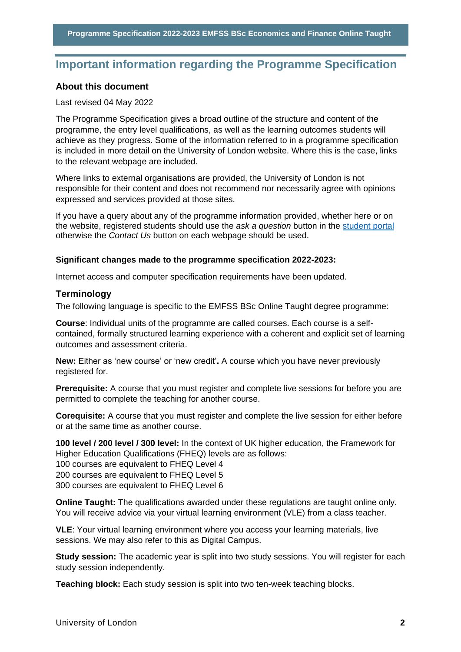# <span id="page-2-0"></span>**Important information regarding the Programme Specification**

#### **About this document**

#### Last revised 04 May 2022

The Programme Specification gives a broad outline of the structure and content of the programme, the entry level qualifications, as well as the learning outcomes students will achieve as they progress. Some of the information referred to in a programme specification is included in more detail on the University of London website. Where this is the case, links to the relevant webpage are included.

Where links to external organisations are provided, the University of London is not responsible for their content and does not recommend nor necessarily agree with opinions expressed and services provided at those sites.

If you have a query about any of the programme information provided, whether here or on the website, registered students should use the *ask a question* button in the [student portal](https://my.london.ac.uk/) otherwise the *Contact Us* button on each webpage should be used.

#### **Significant changes made to the programme specification 2022-2023:**

Internet access and computer specification requirements have been updated.

#### **Terminology**

The following language is specific to the EMFSS BSc Online Taught degree programme:

**Course**: Individual units of the programme are called courses. Each course is a selfcontained, formally structured learning experience with a coherent and explicit set of learning outcomes and assessment criteria.

**New:** Either as 'new course' or 'new credit'**.** A course which you have never previously registered for.

**Prerequisite:** A course that you must register and complete live sessions for before you are permitted to complete the teaching for another course.

**Corequisite:** A course that you must register and complete the live session for either before or at the same time as another course.

**100 level / 200 level / 300 level:** In the context of UK higher education, the Framework for Higher Education Qualifications (FHEQ) levels are as follows:

100 courses are equivalent to FHEQ Level 4

200 courses are equivalent to FHEQ Level 5

300 courses are equivalent to FHEQ Level 6

**Online Taught:** The qualifications awarded under these regulations are taught online only. You will receive advice via your virtual learning environment (VLE) from a class teacher.

**VLE**: Your virtual learning environment where you access your learning materials, live sessions. We may also refer to this as Digital Campus.

**Study session:** The academic year is split into two study sessions. You will register for each study session independently.

**Teaching block:** Each study session is split into two ten-week teaching blocks.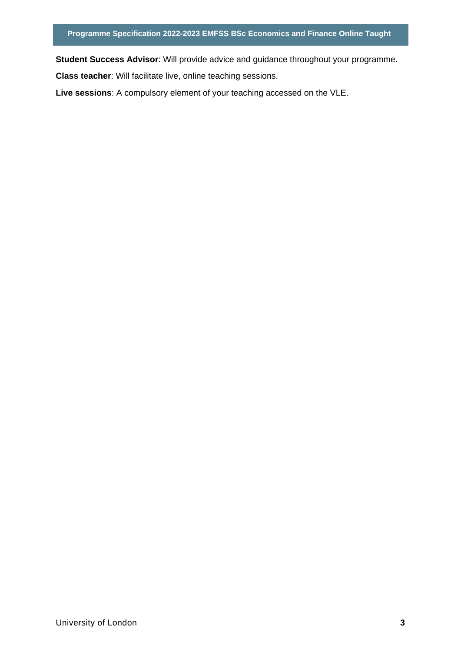**Student Success Advisor**: Will provide advice and guidance throughout your programme.

**Class teacher**: Will facilitate live, online teaching sessions.

**Live sessions**: A compulsory element of your teaching accessed on the VLE.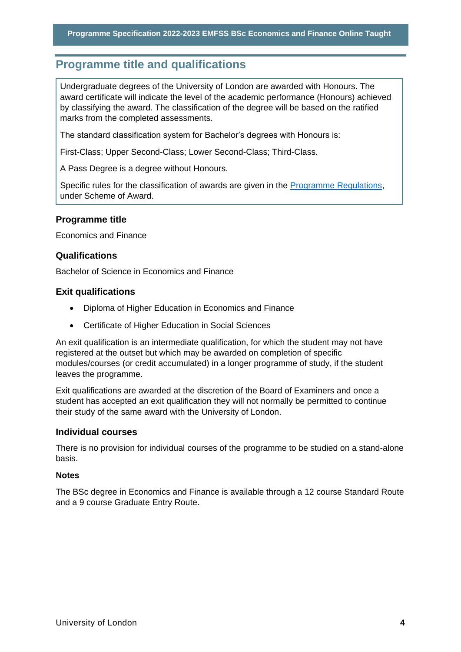# <span id="page-4-0"></span>**Programme title and qualifications**

Undergraduate degrees of the University of London are awarded with Honours. The award certificate will indicate the level of the academic performance (Honours) achieved by classifying the award. The classification of the degree will be based on the ratified marks from the completed assessments.

The standard classification system for Bachelor's degrees with Honours is:

First-Class; Upper Second-Class; Lower Second-Class; Third-Class.

A Pass Degree is a degree without Honours.

Specific rules for the classification of awards are given in the [Programme Regulations,](https://london.ac.uk/current-students/programme-documents/regulations) under Scheme of Award.

#### **Programme title**

Economics and Finance

#### **Qualifications**

Bachelor of Science in Economics and Finance

#### **Exit qualifications**

- Diploma of Higher Education in Economics and Finance
- Certificate of Higher Education in Social Sciences

An exit qualification is an intermediate qualification, for which the student may not have registered at the outset but which may be awarded on completion of specific modules/courses (or credit accumulated) in a longer programme of study, if the student leaves the programme.

Exit qualifications are awarded at the discretion of the Board of Examiners and once a student has accepted an exit qualification they will not normally be permitted to continue their study of the same award with the University of London.

#### **Individual courses**

There is no provision for individual courses of the programme to be studied on a stand-alone basis.

#### **Notes**

The BSc degree in Economics and Finance is available through a 12 course Standard Route and a 9 course Graduate Entry Route.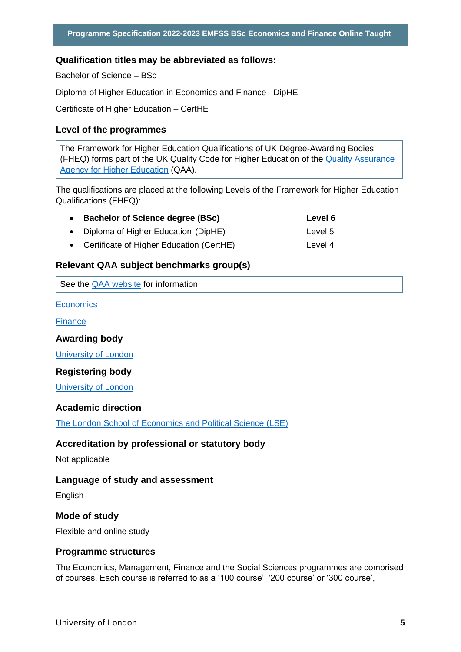#### **Qualification titles may be abbreviated as follows:**

Bachelor of Science – BSc

Diploma of Higher Education in Economics and Finance– DipHE

Certificate of Higher Education – CertHE

#### **Level of the programmes**

The Framework for Higher Education Qualifications of UK Degree-Awarding Bodies (FHEQ) forms part of the UK Quality Code for Higher Education of the [Quality Assurance](http://www.qaa.ac.uk/en)  [Agency for Higher Education](http://www.qaa.ac.uk/en) (QAA).

The qualifications are placed at the following Levels of the Framework for Higher Education Qualifications (FHEQ):

| <b>Bachelor of Science degree (BSc)</b>    | Level 6 |
|--------------------------------------------|---------|
| • Diploma of Higher Education (DipHE)      | Level 5 |
| • Certificate of Higher Education (CertHE) | Level 4 |

#### **Relevant QAA subject benchmarks group(s)**

See the [QAA website](http://www.qaa.ac.uk/) for information

**[Economics](https://www.qaa.ac.uk/docs/qaa/subject-benchmark-statements/subject-benchmark-statement-economics.pdf?sfvrsn=31e2cb81_5)** 

**[Finance](https://www.qaa.ac.uk/docs/qaa/subject-benchmark-statements/subject-benchmark-statement-finance.pdf?sfvrsn=f8f3c881_7)** 

#### **Awarding body**

[University of London](http://www.london.ac.uk/)

#### **Registering body**

[University of London](http://www.london.ac.uk/)

#### **Academic direction**

[The London School of Economics and Political Science \(LSE\)](http://www.lse.ac.uk/home.aspx) 

#### **Accreditation by professional or statutory body**

Not applicable

#### **Language of study and assessment**

English

#### **Mode of study**

Flexible and online study

#### **Programme structures**

The Economics, Management, Finance and the Social Sciences programmes are comprised of courses. Each course is referred to as a '100 course', '200 course' or '300 course',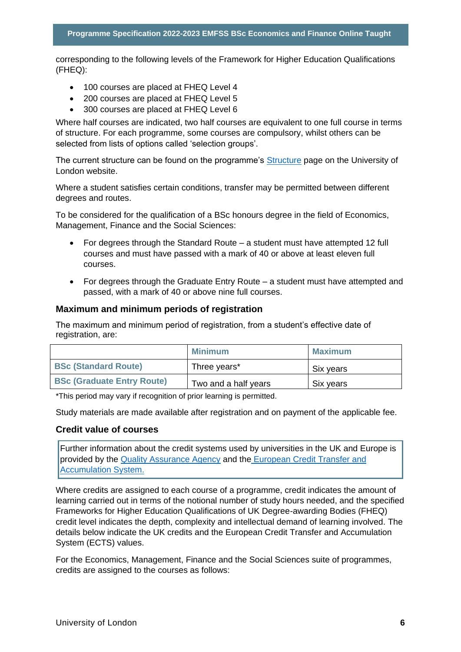corresponding to the following levels of the Framework for Higher Education Qualifications (FHEQ):

- 100 courses are placed at FHEQ Level 4
- 200 courses are placed at FHEQ Level 5
- 300 courses are placed at FHEQ Level 6

Where half courses are indicated, two half courses are equivalent to one full course in terms of structure. For each programme, some courses are compulsory, whilst others can be selected from lists of options called 'selection groups'.

The current structure can be found on the programme's [Structure](https://onlinecourses.london.ac.uk/undergraduate/economics-degrees/economics-finance/) page on the University of London website.

Where a student satisfies certain conditions, transfer may be permitted between different degrees and routes.

To be considered for the qualification of a BSc honours degree in the field of Economics, Management, Finance and the Social Sciences:

- For degrees through the Standard Route a student must have attempted 12 full courses and must have passed with a mark of 40 or above at least eleven full courses.
- For degrees through the Graduate Entry Route a student must have attempted and passed, with a mark of 40 or above nine full courses.

#### **Maximum and minimum periods of registration**

The maximum and minimum period of registration, from a student's effective date of registration, are:

|                                   | Minimum              | <b>Maximum</b> |
|-----------------------------------|----------------------|----------------|
| <b>BSc (Standard Route)</b>       | Three years*         | Six years      |
| <b>BSc (Graduate Entry Route)</b> | Two and a half years | Six years      |

\*This period may vary if recognition of prior learning is permitted.

Study materials are made available after registration and on payment of the applicable fee.

#### **Credit value of courses**

Further information about the credit systems used by universities in the UK and Europe is provided by the [Quality Assurance Agency](http://www.qaa.ac.uk/en) and the [European Credit Transfer and](http://ec.europa.eu/education/resources/european-credit-transfer-accumulation-system_en.htm)  [Accumulation System.](http://ec.europa.eu/education/resources/european-credit-transfer-accumulation-system_en.htm)

Where credits are assigned to each course of a programme, credit indicates the amount of learning carried out in terms of the notional number of study hours needed, and the specified Frameworks for Higher Education Qualifications of UK Degree-awarding Bodies (FHEQ) credit level indicates the depth, complexity and intellectual demand of learning involved. The details below indicate the UK credits and the European Credit Transfer and Accumulation System (ECTS) values.

For the Economics, Management, Finance and the Social Sciences suite of programmes, credits are assigned to the courses as follows: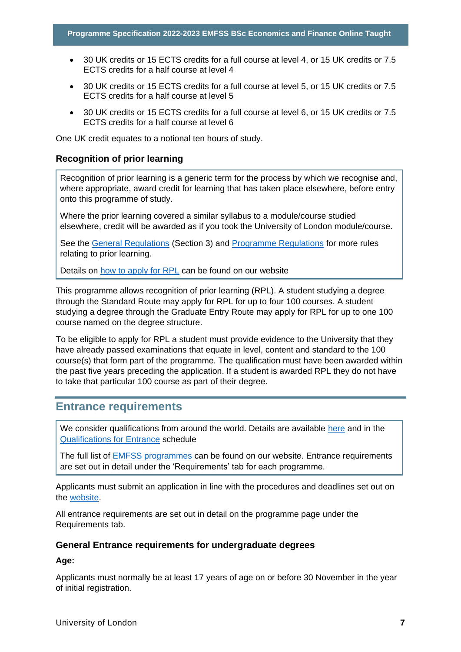- 30 UK credits or 15 ECTS credits for a full course at level 4, or 15 UK credits or 7.5 ECTS credits for a half course at level 4
- 30 UK credits or 15 ECTS credits for a full course at level 5, or 15 UK credits or 7.5 ECTS credits for a half course at level 5
- 30 UK credits or 15 ECTS credits for a full course at level 6, or 15 UK credits or 7.5 ECTS credits for a half course at level 6

One UK credit equates to a notional ten hours of study.

#### **Recognition of prior learning**

Recognition of prior learning is a generic term for the process by which we recognise and, where appropriate, award credit for learning that has taken place elsewhere, before entry onto this programme of study.

Where the prior learning covered a similar syllabus to a module/course studied elsewhere, credit will be awarded as if you took the University of London module/course.

See the [General Regulations](https://london.ac.uk/current-students/programme-documents/regulations) (Section 3) and [Programme Regulations](https://london.ac.uk/current-studentsprogramme-documents/regulations) for more rules relating to prior learning.

Details on [how to apply for RPL](https://london.ac.uk/applications/how-apply/recognition-prior-learning/recognition-and-accreditation-prior-learning-0) can be found on our website

This programme allows recognition of prior learning (RPL). A student studying a degree through the Standard Route may apply for RPL for up to four 100 courses. A student studying a degree through the Graduate Entry Route may apply for RPL for up to one 100 course named on the degree structure.

To be eligible to apply for RPL a student must provide evidence to the University that they have already passed examinations that equate in level, content and standard to the 100 course(s) that form part of the programme. The qualification must have been awarded within the past five years preceding the application. If a student is awarded RPL they do not have to take that particular 100 course as part of their degree.

## <span id="page-7-0"></span>**Entrance requirements**

We consider qualifications from around the world. Details are available [here](https://london.ac.uk/applications/how-apply/am-i-qualified) and in the [Qualifications for Entrance](https://london.ac.uk/entrance-qualifications) schedule

The full list of [EMFSS programmes](https://london.ac.uk/lse#apply-now) can be found on our website. Entrance requirements are set out in detail under the 'Requirements' tab for each programme.

Applicants must submit an application in line with the procedures and deadlines set out on the [website.](https://london.ac.uk/applications/how-apply)

All entrance requirements are set out in detail on the programme page under the Requirements tab.

#### **General Entrance requirements for undergraduate degrees**

**Age:** 

Applicants must normally be at least 17 years of age on or before 30 November in the year of initial registration.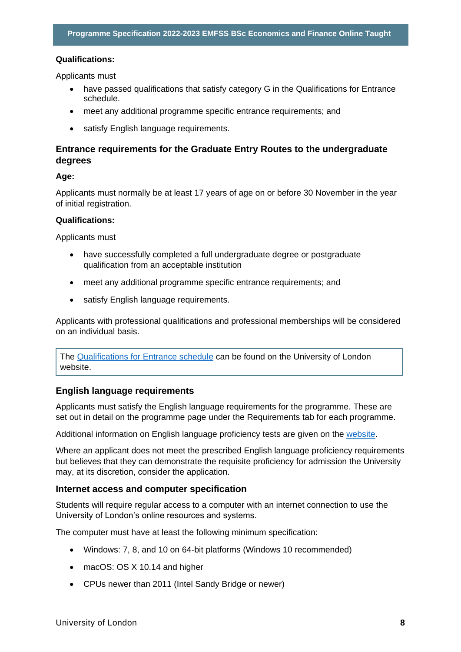#### **Qualifications:**

Applicants must

- have passed qualifications that satisfy category G in the Qualifications for Entrance schedule.
- meet any additional programme specific entrance requirements; and
- satisfy English language requirements.

#### **Entrance requirements for the Graduate Entry Routes to the undergraduate degrees**

#### **Age:**

Applicants must normally be at least 17 years of age on or before 30 November in the year of initial registration.

#### **Qualifications:**

Applicants must

- have successfully completed a full undergraduate degree or postgraduate qualification from an acceptable institution
- meet any additional programme specific entrance requirements; and
- satisfy English language requirements.

Applicants with professional qualifications and professional memberships will be considered on an individual basis.

The [Qualifications for Entrance schedule](https://london.ac.uk/entrance-qualifications) can be found on the University of London website.

#### **English language requirements**

Applicants must satisfy the English language requirements for the programme. These are set out in detail on the programme page under the Requirements tab for each programme.

Additional information on English language proficiency tests are given on the [website.](https://london.ac.uk/applications/how-apply/english-requirements)

Where an applicant does not meet the prescribed English language proficiency requirements but believes that they can demonstrate the requisite proficiency for admission the University may, at its discretion, consider the application.

#### **Internet access and computer specification**

Students will require regular access to a computer with an internet connection to use the University of London's online resources and systems.

The computer must have at least the following minimum specification:

- Windows: 7, 8, and 10 on 64-bit platforms (Windows 10 recommended)
- macOS: OS X 10.14 and higher
- CPUs newer than 2011 (Intel Sandy Bridge or newer)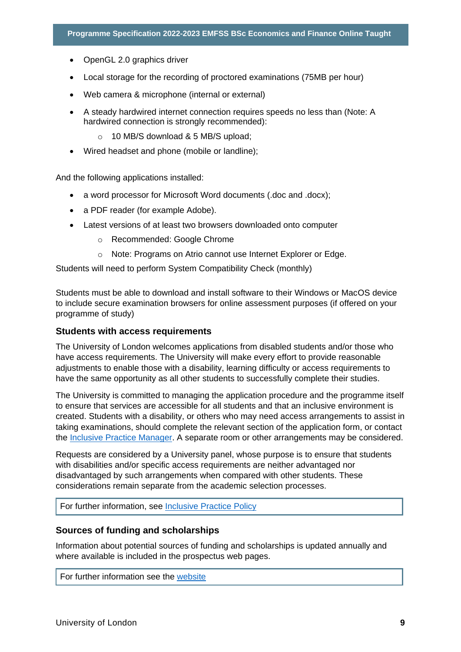- OpenGL 2.0 graphics driver
- Local storage for the recording of proctored examinations (75MB per hour)
- Web camera & microphone (internal or external)
- A steady hardwired internet connection requires speeds no less than (Note: A hardwired connection is strongly recommended):
	- o 10 MB/S download & 5 MB/S upload;
- Wired headset and phone (mobile or landline);

And the following applications installed:

- a word processor for Microsoft Word documents (.doc and .docx);
- a PDF reader (for example Adobe).
- Latest versions of at least two browsers downloaded onto computer
	- o Recommended: Google Chrome
	- o Note: Programs on Atrio cannot use Internet Explorer or Edge.

Students will need to perform System Compatibility Check (monthly)

Students must be able to download and install software to their Windows or MacOS device to include secure examination browsers for online assessment purposes (if offered on your programme of study)

#### **Students with access requirements**

The University of London welcomes applications from disabled students and/or those who have access requirements. The University will make every effort to provide reasonable adjustments to enable those with a disability, learning difficulty or access requirements to have the same opportunity as all other students to successfully complete their studies.

The University is committed to managing the application procedure and the programme itself to ensure that services are accessible for all students and that an inclusive environment is created. Students with a disability, or others who may need access arrangements to assist in taking examinations, should complete the relevant section of the application form, or contact the [Inclusive Practice Manager.](mailto:special.arrangements@london.ac.uk) A separate room or other arrangements may be considered.

Requests are considered by a University panel, whose purpose is to ensure that students with disabilities and/or specific access requirements are neither advantaged nor disadvantaged by such arrangements when compared with other students. These considerations remain separate from the academic selection processes.

For further information, see [Inclusive Practice Policy](https://london.ac.uk/applications/how-it-works/inclusive-practice-special-arrangements)

#### **Sources of funding and scholarships**

Information about potential sources of funding and scholarships is updated annually and where available is included in the prospectus web pages.

For further information see the [website](https://london.ac.uk/applications/funding-your-study)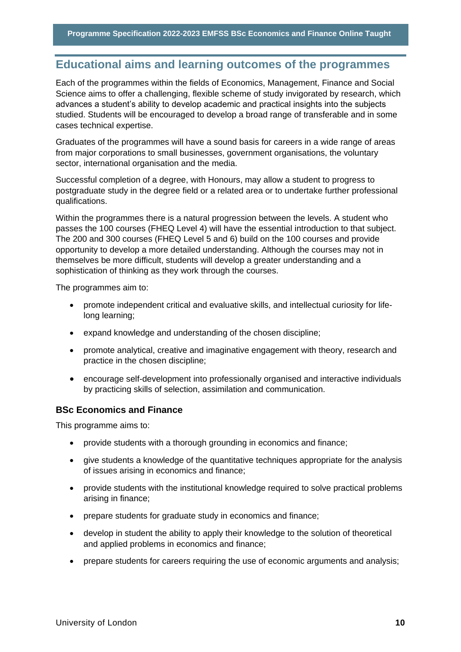# <span id="page-10-0"></span>**Educational aims and learning outcomes of the programmes**

Each of the programmes within the fields of Economics, Management, Finance and Social Science aims to offer a challenging, flexible scheme of study invigorated by research, which advances a student's ability to develop academic and practical insights into the subjects studied. Students will be encouraged to develop a broad range of transferable and in some cases technical expertise.

Graduates of the programmes will have a sound basis for careers in a wide range of areas from major corporations to small businesses, government organisations, the voluntary sector, international organisation and the media.

Successful completion of a degree, with Honours, may allow a student to progress to postgraduate study in the degree field or a related area or to undertake further professional qualifications.

Within the programmes there is a natural progression between the levels. A student who passes the 100 courses (FHEQ Level 4) will have the essential introduction to that subject. The 200 and 300 courses (FHEQ Level 5 and 6) build on the 100 courses and provide opportunity to develop a more detailed understanding. Although the courses may not in themselves be more difficult, students will develop a greater understanding and a sophistication of thinking as they work through the courses.

The programmes aim to:

- promote independent critical and evaluative skills, and intellectual curiosity for lifelong learning;
- expand knowledge and understanding of the chosen discipline;
- promote analytical, creative and imaginative engagement with theory, research and practice in the chosen discipline;
- encourage self-development into professionally organised and interactive individuals by practicing skills of selection, assimilation and communication.

#### **BSc Economics and Finance**

This programme aims to:

- provide students with a thorough grounding in economics and finance;
- give students a knowledge of the quantitative techniques appropriate for the analysis of issues arising in economics and finance;
- provide students with the institutional knowledge required to solve practical problems arising in finance;
- prepare students for graduate study in economics and finance;
- develop in student the ability to apply their knowledge to the solution of theoretical and applied problems in economics and finance;
- prepare students for careers requiring the use of economic arguments and analysis;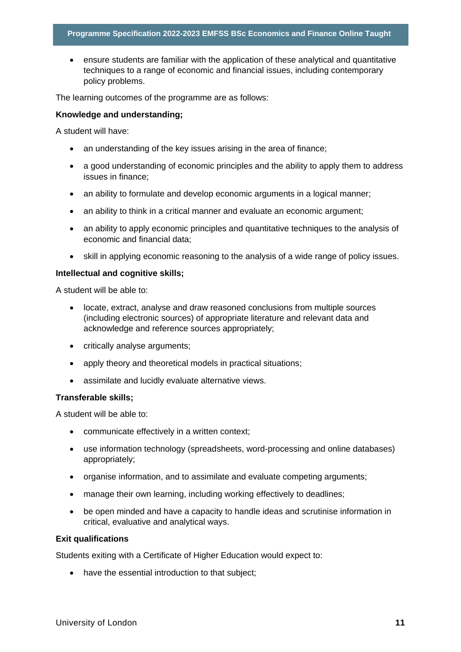• ensure students are familiar with the application of these analytical and quantitative techniques to a range of economic and financial issues, including contemporary policy problems.

The learning outcomes of the programme are as follows:

#### **Knowledge and understanding;**

A student will have:

- an understanding of the key issues arising in the area of finance;
- a good understanding of economic principles and the ability to apply them to address issues in finance;
- an ability to formulate and develop economic arguments in a logical manner;
- an ability to think in a critical manner and evaluate an economic argument;
- an ability to apply economic principles and quantitative techniques to the analysis of economic and financial data;
- skill in applying economic reasoning to the analysis of a wide range of policy issues.

#### **Intellectual and cognitive skills;**

A student will be able to:

- locate, extract, analyse and draw reasoned conclusions from multiple sources (including electronic sources) of appropriate literature and relevant data and acknowledge and reference sources appropriately;
- critically analyse arguments;
- apply theory and theoretical models in practical situations;
- assimilate and lucidly evaluate alternative views.

#### **Transferable skills;**

A student will be able to:

- communicate effectively in a written context;
- use information technology (spreadsheets, word-processing and online databases) appropriately;
- organise information, and to assimilate and evaluate competing arguments;
- manage their own learning, including working effectively to deadlines;
- be open minded and have a capacity to handle ideas and scrutinise information in critical, evaluative and analytical ways.

#### **Exit qualifications**

Students exiting with a Certificate of Higher Education would expect to:

• have the essential introduction to that subject;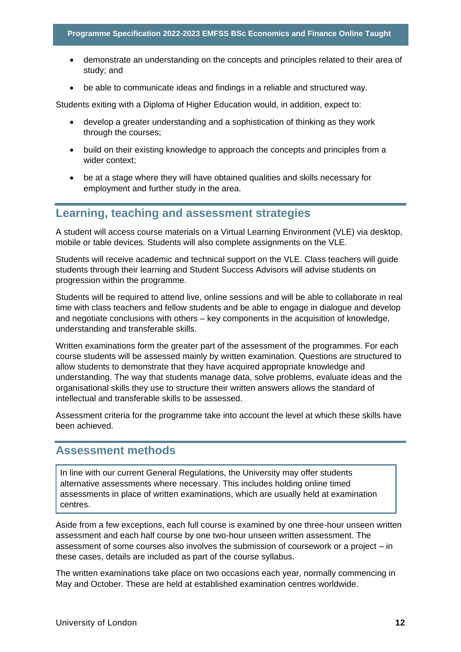- demonstrate an understanding on the concepts and principles related to their area of study; and
- be able to communicate ideas and findings in a reliable and structured way.

Students exiting with a Diploma of Higher Education would, in addition, expect to:

- develop a greater understanding and a sophistication of thinking as they work through the courses;
- build on their existing knowledge to approach the concepts and principles from a wider context;
- be at a stage where they will have obtained qualities and skills necessary for employment and further study in the area.

# <span id="page-12-0"></span>**Learning, teaching and assessment strategies**

A student will access course materials on a Virtual Learning Environment (VLE) via desktop, mobile or table devices. Students will also complete assignments on the VLE.

Students will receive academic and technical support on the VLE. Class teachers will guide students through their learning and Student Success Advisors will advise students on progression within the programme.

Students will be required to attend live, online sessions and will be able to collaborate in real time with class teachers and fellow students and be able to engage in dialogue and develop and negotiate conclusions with others – key components in the acquisition of knowledge, understanding and transferable skills.

Written examinations form the greater part of the assessment of the programmes. For each course students will be assessed mainly by written examination. Questions are structured to allow students to demonstrate that they have acquired appropriate knowledge and understanding. The way that students manage data, solve problems, evaluate ideas and the organisational skills they use to structure their written answers allows the standard of intellectual and transferable skills to be assessed.

Assessment criteria for the programme take into account the level at which these skills have been achieved.

## <span id="page-12-1"></span>**Assessment methods**

In line with our current General Regulations, the University may offer students alternative assessments where necessary. This includes holding online timed assessments in place of written examinations, which are usually held at examination centres.

Aside from a few exceptions, each full course is examined by one three-hour unseen written assessment and each half course by one two-hour unseen written assessment. The assessment of some courses also involves the submission of coursework or a project – in these cases, details are included as part of the course syllabus.

The written examinations take place on two occasions each year, normally commencing in May and October. These are held at established examination centres worldwide.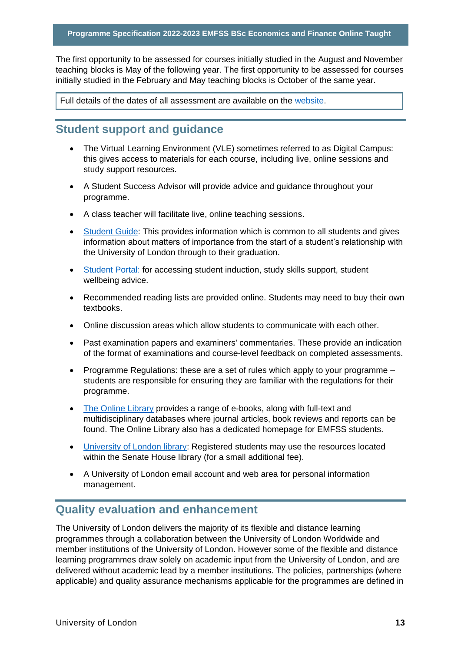The first opportunity to be assessed for courses initially studied in the August and November teaching blocks is May of the following year. The first opportunity to be assessed for courses initially studied in the February and May teaching blocks is October of the same year.

Full details of the dates of all assessment are available on the website.

# <span id="page-13-0"></span>**Student support and guidance**

- The Virtual Learning Environment (VLE) sometimes referred to as Digital Campus: this gives access to materials for each course, including live, online sessions and study support resources.
- A Student Success Advisor will provide advice and guidance throughout your programme.
- A class teacher will facilitate live, online teaching sessions.
- Student Guide: This provides information which is common to all students and gives information about matters of importance from the start of a student's relationship with the University of London through to their graduation.
- Student Portal: for accessing student induction, study skills support, student wellbeing advice.
- Recommended reading lists are provided online. Students may need to buy their own textbooks.
- Online discussion areas which allow students to communicate with each other.
- Past examination papers and examiners' commentaries. These provide an indication of the format of examinations and course-level feedback on completed assessments.
- Programme Regulations: these are a set of rules which apply to your programme students are responsible for ensuring they are familiar with the regulations for their programme.
- The Online Library provides a range of e-books, along with full-text and multidisciplinary databases where journal articles, book reviews and reports can be found. The Online Library also has a dedicated homepage for EMFSS students.
- University of London library: Registered students may use the resources located within the Senate House library (for a small additional fee).
- A University of London email account and web area for personal information management.

# <span id="page-13-1"></span>**Quality evaluation and enhancement**

The University of London delivers the majority of its flexible and distance learning programmes through a collaboration between the University of London Worldwide and member institutions of the University of London. However some of the flexible and distance learning programmes draw solely on academic input from the University of London, and are delivered without academic lead by a member institutions. The policies, partnerships (where applicable) and quality assurance mechanisms applicable for the programmes are defined in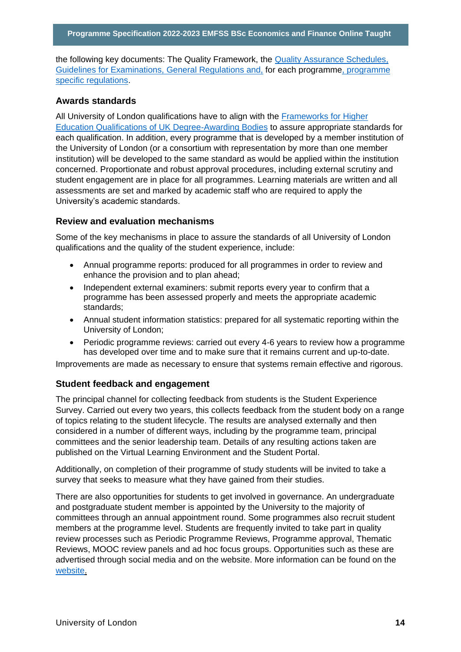the following key documents: The Quality Framework, the Quality Assurance Schedules, Guidelines for Examinations, General Regulations and, for each programme, programme specific regulations.

#### **Awards standards**

All University of London qualifications have to align with the Frameworks for Higher Education Qualifications of UK Degree-Awarding Bodies to assure appropriate standards for each qualification. In addition, every programme that is developed by a member institution of the University of London (or a consortium with representation by more than one member institution) will be developed to the same standard as would be applied within the institution concerned. Proportionate and robust approval procedures, including external scrutiny and student engagement are in place for all programmes. Learning materials are written and all assessments are set and marked by academic staff who are required to apply the University's academic standards.

#### **Review and evaluation mechanisms**

Some of the key mechanisms in place to assure the standards of all University of London qualifications and the quality of the student experience, include:

- Annual programme reports: produced for all programmes in order to review and enhance the provision and to plan ahead;
- Independent external examiners: submit reports every year to confirm that a programme has been assessed properly and meets the appropriate academic standards;
- Annual student information statistics: prepared for all systematic reporting within the University of London;
- Periodic programme reviews: carried out every 4-6 years to review how a programme has developed over time and to make sure that it remains current and up-to-date.

Improvements are made as necessary to ensure that systems remain effective and rigorous.

#### **Student feedback and engagement**

The principal channel for collecting feedback from students is the Student Experience Survey. Carried out every two years, this collects feedback from the student body on a range of topics relating to the student lifecycle. The results are analysed externally and then considered in a number of different ways, including by the programme team, principal committees and the senior leadership team. Details of any resulting actions taken are published on the Virtual Learning Environment and the Student Portal.

Additionally, on completion of their programme of study students will be invited to take a survey that seeks to measure what they have gained from their studies.

There are also opportunities for students to get involved in governance. An undergraduate and postgraduate student member is appointed by the University to the majority of committees through an annual appointment round. Some programmes also recruit student members at the programme level. Students are frequently invited to take part in quality review processes such as Periodic Programme Reviews, Programme approval, Thematic Reviews, MOOC review panels and ad hoc focus groups. Opportunities such as these are advertised through social media and on the website. More information can be found on the website.